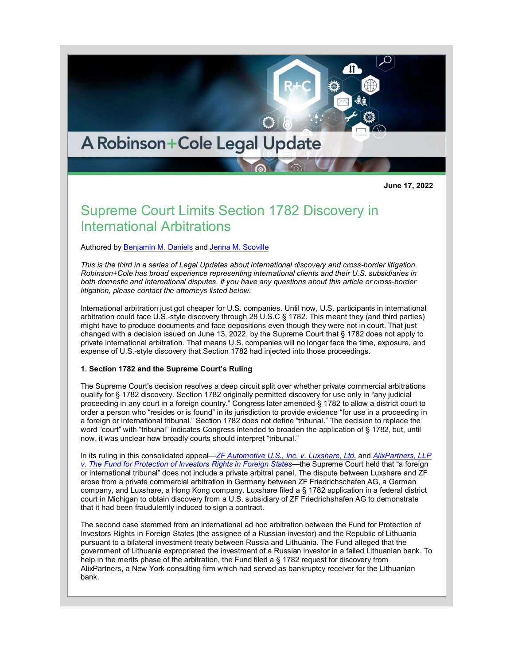# A Robinson+Cole Legal Update

**June 17, 2022**

## Supreme Court Limits Section 1782 Discovery in International Arbitrations

Authored by [Benjamin M. Daniels](http://www.rc.com/people/BenjaminMDaniels.cfm) and [Jenna M. Scoville](http://www.rc.com/people/JennaScoville.cfm)

*This is the third in a series of Legal Updates about international discovery and cross-border litigation. Robinson+Cole has broad experience representing international clients and their U.S. subsidiaries in both domestic and international disputes. If you have any questions about this article or cross-border litigation, please contact the attorneys listed below.*

International arbitration just got cheaper for U.S. companies. Until now, U.S. participants in international arbitration could face U.S.-style discovery through 28 U.S.C § 1782. This meant they (and third parties) might have to produce documents and face depositions even though they were not in court. That just changed with a decision issued on June 13, 2022, by the Supreme Court that § 1782 does not apply to private international arbitration. That means U.S. companies will no longer face the time, exposure, and expense of U.S.-style discovery that Section 1782 had injected into those proceedings.

#### **1. Section 1782 and the Supreme Court's Ruling**

The Supreme Court's decision resolves a deep circuit split over whether private commercial arbitrations qualify for § 1782 discovery. Section 1782 originally permitted discovery for use only in "any judicial proceeding in any court in a foreign country." Congress later amended § 1782 to allow a district court to order a person who "resides or is found" in its jurisdiction to provide evidence "for use in a proceeding in a foreign or international tribunal." Section 1782 does not define "tribunal." The decision to replace the word "court" with "tribunal" indicates Congress intended to broaden the application of § 1782, but, until now, it was unclear how broadly courts should interpret "tribunal."

In its ruling in this consolidated appeal—*[ZF Automotive U.S., Inc. v. Luxshare, Ltd.](https://www.supremecourt.gov/opinions/21pdf/21-401_2cp3.pdf)* and *[AlixPartners, LLP](https://www.supremecourt.gov/opinions/21pdf/21-401_2cp3.pdf)  [v. The Fund for Protection of Investors Rights in Foreign States](https://www.supremecourt.gov/opinions/21pdf/21-401_2cp3.pdf)*—the Supreme Court held that "a foreign or international tribunal" does not include a private arbitral panel. The dispute between Luxshare and ZF arose from a private commercial arbitration in Germany between ZF Friedrichschafen AG, a German company, and Luxshare, a Hong Kong company. Luxshare filed a § 1782 application in a federal district court in Michigan to obtain discovery from a U.S. subsidiary of ZF Friedrichshafen AG to demonstrate that it had been fraudulently induced to sign a contract.

The second case stemmed from an international ad hoc arbitration between the Fund for Protection of Investors Rights in Foreign States (the assignee of a Russian investor) and the Republic of Lithuania pursuant to a bilateral investment treaty between Russia and Lithuania. The Fund alleged that the government of Lithuania expropriated the investment of a Russian investor in a failed Lithuanian bank. To help in the merits phase of the arbitration, the Fund filed a § 1782 request for discovery from AlixPartners, a New York consulting firm which had served as bankruptcy receiver for the Lithuanian bank.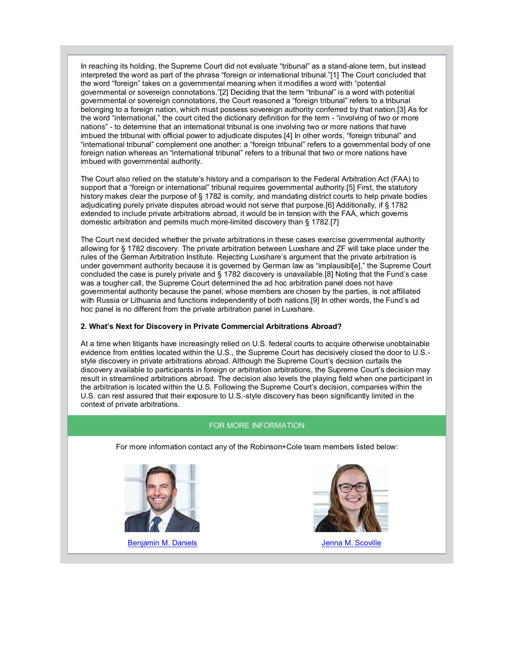In reaching its holding, the Supreme Court did not evaluate "tribunal" as a stand-alone term, but instead interpreted the word as part of the phrase "foreign or international tribunal."[1] The Court concluded that the word "foreign" takes on a governmental meaning when it modifies a word with "potential governmental or sovereign connotations."[2] Deciding that the term "tribunal" is a word with potential governmental or sovereign connotations, the Court reasoned a "foreign tribunal" refers to a tribunal belonging to a foreign nation, which must possess sovereign authority conferred by that nation.[3] As for the word "international," the court cited the dictionary definition for the term - "involving of two or more nations" - to determine that an international tribunal is one involving two or more nations that have imbued the tribunal with official power to adjudicate disputes.[4] In other words, "foreign tribunal" and "international tribunal" complement one another: a "foreign tribunal" refers to a governmental body of one foreign nation whereas an "international tribunal" refers to a tribunal that two or more nations have imbued with governmental authority.

The Court also relied on the statute's history and a comparison to the Federal Arbitration Act (FAA) to support that a "foreign or international" tribunal requires governmental authority.[5] First, the statutory history makes clear the purpose of § 1782 is comity, and mandating district courts to help private bodies adjudicating purely private disputes abroad would not serve that purpose.[6] Additionally, if § 1782 extended to include private arbitrations abroad, it would be in tension with the FAA, which governs domestic arbitration and permits much more-limited discovery than § 1782.[7]

The Court next decided whether the private arbitrations in these cases exercise governmental authority allowing for § 1782 discovery. The private arbitration between Luxshare and ZF will take place under the rules of the German Arbitration Institute. Rejecting Luxshare's argument that the private arbitration is under government authority because it is governed by German law as "implausibl[e]," the Supreme Court concluded the case is purely private and § 1782 discovery is unavailable.[8] Noting that the Fund's case was a tougher call, the Supreme Court determined the ad hoc arbitration panel does not have governmental authority because the panel, whose members are chosen by the parties, is not affiliated with Russia or Lithuania and functions independently of both nations.[9] In other words, the Fund's ad hoc panel is no different from the private arbitration panel in Luxshare.

#### **2. What's Next for Discovery in Private Commercial Arbitrations Abroad?**

At a time when litigants have increasingly relied on U.S. federal courts to acquire otherwise unobtainable evidence from entities located within the U.S., the Supreme Court has decisively closed the door to U.S. style discovery in private arbitrations abroad. Although the Supreme Court's decision curtails the discovery available to participants in foreign or arbitration arbitrations, the Supreme Court's decision may result in streamlined arbitrations abroad. The decision also levels the playing field when one participant in the arbitration is located within the U.S. Following the Supreme Court's decision, companies within the U.S. can rest assured that their exposure to U.S.-style discovery has been significantly limited in the context of private arbitrations.

### FOR MORE INFORMATION

For more information contact any of the Robinson+Cole team members listed below:



[Benjamin M.](http://www.rc.com/people/BenjaminMDaniels.cfm) Daniels **Grand Contract Contract Contract Contract Contract Contract Contract Contract Contract Contract Contract Contract Contract Contract Contract Contract Contract Contract Contract Contract Contract Contra**